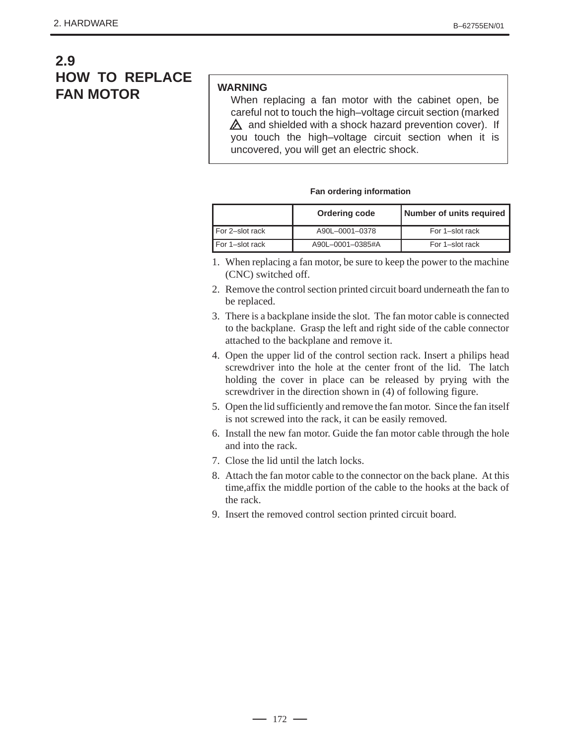## **2.9 HOW TO REPLACE FAN MOTOR**

## **WARNING**

When replacing a fan motor with the cabinet open, be careful not to touch the high–voltage circuit section (marked  $\triangle$  and shielded with a shock hazard prevention cover). If you touch the high–voltage circuit section when it is uncovered, you will get an electric shock.

## **Fan ordering information**

|                 | Ordering code    | <b>Number of units required</b> |
|-----------------|------------------|---------------------------------|
| For 2-slot rack | A90L-0001-0378   | For 1-slot rack                 |
| For 1-slot rack | A90L-0001-0385#A | For 1-slot rack                 |

- 1. When replacing a fan motor, be sure to keep the power to the machine (CNC) switched off.
- 2. Remove the control section printed circuit board underneath the fan to be replaced.
- 3. There is a backplane inside the slot. The fan motor cable is connected to the backplane. Grasp the left and right side of the cable connector attached to the backplane and remove it.
- 4. Open the upper lid of the control section rack. Insert a philips head screwdriver into the hole at the center front of the lid. The latch holding the cover in place can be released by prying with the screwdriver in the direction shown in (4) of following figure.
- 5. Open the lid sufficiently and remove the fan motor. Since the fan itself is not screwed into the rack, it can be easily removed.
- 6. Install the new fan motor. Guide the fan motor cable through the hole and into the rack.
- 7. Close the lid until the latch locks.
- 8. Attach the fan motor cable to the connector on the back plane. At this time,affix the middle portion of the cable to the hooks at the back of the rack.
- 9. Insert the removed control section printed circuit board.